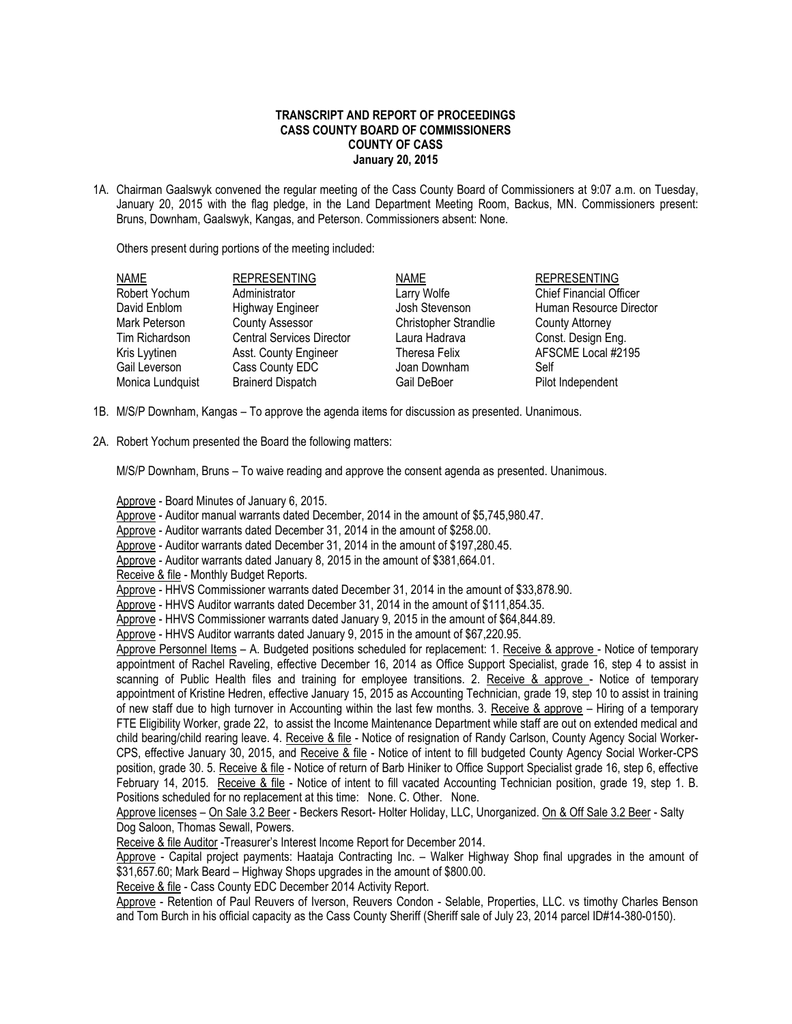## **TRANSCRIPT AND REPORT OF PROCEEDINGS CASS COUNTY BOARD OF COMMISSIONERS COUNTY OF CASS January 20, 2015**

1A. Chairman Gaalswyk convened the regular meeting of the Cass County Board of Commissioners at 9:07 a.m. on Tuesday, January 20, 2015 with the flag pledge, in the Land Department Meeting Room, Backus, MN. Commissioners present: Bruns, Downham, Gaalswyk, Kangas, and Peterson. Commissioners absent: None.

Others present during portions of the meeting included:

| <b>NAME</b>      | <b>REPRESENTING</b>              | <b>NAME</b>           | <b>REPRESENTING</b>            |
|------------------|----------------------------------|-----------------------|--------------------------------|
| Robert Yochum    | Administrator                    | Larry Wolfe           | <b>Chief Financial Officer</b> |
| David Enblom     | <b>Highway Engineer</b>          | Josh Stevenson        | Human Resource Director        |
| Mark Peterson    | <b>County Assessor</b>           | Christopher Strandlie | <b>County Attorney</b>         |
| Tim Richardson   | <b>Central Services Director</b> | Laura Hadrava         | Const. Design Eng.             |
| Kris Lyytinen    | Asst. County Engineer            | Theresa Felix         | AFSCME Local #2195             |
| Gail Leverson    | Cass County EDC                  | Joan Downham          | Self                           |
| Monica Lundquist | <b>Brainerd Dispatch</b>         | Gail DeBoer           | Pilot Independent              |

- 1B. M/S/P Downham, Kangas To approve the agenda items for discussion as presented. Unanimous.
- 2A. Robert Yochum presented the Board the following matters:

M/S/P Downham, Bruns – To waive reading and approve the consent agenda as presented. Unanimous.

Approve - Board Minutes of January 6, 2015.

Approve - Auditor manual warrants dated December, 2014 in the amount of \$5,745,980.47.

Approve - Auditor warrants dated December 31, 2014 in the amount of \$258.00.

Approve - Auditor warrants dated December 31, 2014 in the amount of \$197,280.45.

Approve - Auditor warrants dated January 8, 2015 in the amount of \$381,664.01.

Receive & file - Monthly Budget Reports.

Approve - HHVS Commissioner warrants dated December 31, 2014 in the amount of \$33,878.90.

Approve - HHVS Auditor warrants dated December 31, 2014 in the amount of \$111,854.35.

Approve - HHVS Commissioner warrants dated January 9, 2015 in the amount of \$64,844.89.

Approve - HHVS Auditor warrants dated January 9, 2015 in the amount of \$67,220.95.

Approve Personnel Items – A. Budgeted positions scheduled for replacement: 1. Receive & approve - Notice of temporary appointment of Rachel Raveling, effective December 16, 2014 as Office Support Specialist, grade 16, step 4 to assist in scanning of Public Health files and training for employee transitions. 2. Receive & approve - Notice of temporary appointment of Kristine Hedren, effective January 15, 2015 as Accounting Technician, grade 19, step 10 to assist in training of new staff due to high turnover in Accounting within the last few months. 3. Receive & approve – Hiring of a temporary FTE Eligibility Worker, grade 22, to assist the Income Maintenance Department while staff are out on extended medical and child bearing/child rearing leave. 4. Receive & file - Notice of resignation of Randy Carlson, County Agency Social Worker-CPS, effective January 30, 2015, and Receive & file - Notice of intent to fill budgeted County Agency Social Worker-CPS position, grade 30. 5. Receive & file - Notice of return of Barb Hiniker to Office Support Specialist grade 16, step 6, effective February 14, 2015. Receive & file - Notice of intent to fill vacated Accounting Technician position, grade 19, step 1. B. Positions scheduled for no replacement at this time: None. C. Other. None.

Approve licenses – On Sale 3.2 Beer - Beckers Resort- Holter Holiday, LLC, Unorganized. On & Off Sale 3.2 Beer - Salty Dog Saloon, Thomas Sewall, Powers.

Receive & file Auditor -Treasurer's Interest Income Report for December 2014.

Approve - Capital project payments: Haataja Contracting Inc. – Walker Highway Shop final upgrades in the amount of \$31,657.60; Mark Beard – Highway Shops upgrades in the amount of \$800.00.

Receive & file - Cass County EDC December 2014 Activity Report.

Approve - Retention of Paul Reuvers of Iverson, Reuvers Condon - Selable, Properties, LLC. vs timothy Charles Benson and Tom Burch in his official capacity as the Cass County Sheriff (Sheriff sale of July 23, 2014 parcel ID#14-380-0150).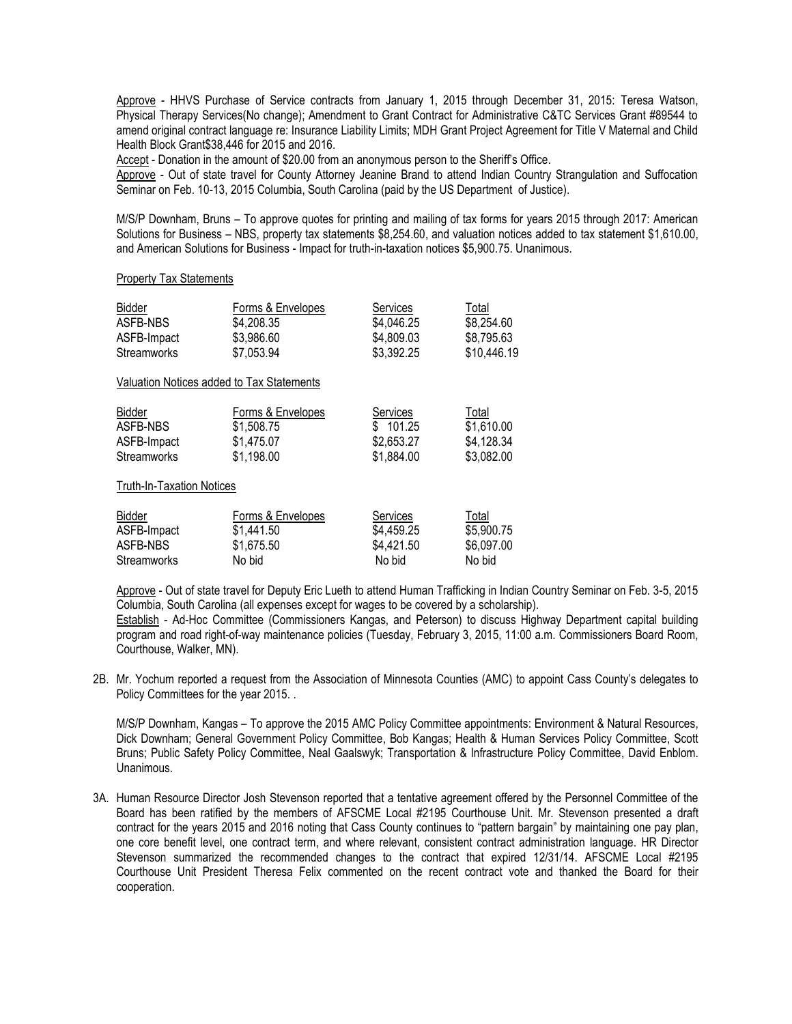Approve - HHVS Purchase of Service contracts from January 1, 2015 through December 31, 2015: Teresa Watson, Physical Therapy Services(No change); Amendment to Grant Contract for Administrative C&TC Services Grant #89544 to amend original contract language re: Insurance Liability Limits; MDH Grant Project Agreement for Title V Maternal and Child Health Block Grant\$38,446 for 2015 and 2016.

Accept - Donation in the amount of \$20.00 from an anonymous person to the Sheriff's Office.

Approve - Out of state travel for County Attorney Jeanine Brand to attend Indian Country Strangulation and Suffocation Seminar on Feb. 10-13, 2015 Columbia, South Carolina (paid by the US Department of Justice).

M/S/P Downham, Bruns – To approve quotes for printing and mailing of tax forms for years 2015 through 2017: American Solutions for Business – NBS, property tax statements \$8,254.60, and valuation notices added to tax statement \$1,610.00, and American Solutions for Business - Impact for truth-in-taxation notices \$5,900.75. Unanimous.

## Property Tax Statements

| Bidder<br>ASFB-NBS<br>ASFB-Impact<br>Streamworks | Forms & Envelopes<br>\$4,208.35<br>\$3,986.60<br>\$7,053.94 | Services<br>\$4,046.25<br>\$4,809.03<br>\$3,392.25 | Total<br>\$8,254.60<br>\$8,795.63<br>\$10,446.19 |
|--------------------------------------------------|-------------------------------------------------------------|----------------------------------------------------|--------------------------------------------------|
|                                                  | Valuation Notices added to Tax Statements                   |                                                    |                                                  |
| Bidder<br>ASFB-NBS<br>ASFB-Impact<br>Streamworks | Forms & Envelopes<br>\$1,508.75<br>\$1,475.07<br>\$1,198.00 | Services<br>\$101.25<br>\$2,653.27<br>\$1,884.00   | Total<br>\$1,610.00<br>\$4,128.34<br>\$3,082.00  |
| <b>Truth-In-Taxation Notices</b>                 |                                                             |                                                    |                                                  |
| <b>Diddor</b>                                    | Earma & Envolance                                           | $C$ orunoo                                         | Total                                            |

## Bidder Forms & Envelopes Services Total ASFB-Impact \$1,441.50 \$4,459.25 \$5,900.75 ASFB-NBS \$1,675.50 \$4,421.50 \$6,097.00 Streamworks No bid No bid No bid No bid

Approve - Out of state travel for Deputy Eric Lueth to attend Human Trafficking in Indian Country Seminar on Feb. 3-5, 2015 Columbia, South Carolina (all expenses except for wages to be covered by a scholarship).

Establish - Ad-Hoc Committee (Commissioners Kangas, and Peterson) to discuss Highway Department capital building program and road right-of-way maintenance policies (Tuesday, February 3, 2015, 11:00 a.m. Commissioners Board Room, Courthouse, Walker, MN).

2B. Mr. Yochum reported a request from the Association of Minnesota Counties (AMC) to appoint Cass County's delegates to Policy Committees for the year 2015. .

M/S/P Downham, Kangas – To approve the 2015 AMC Policy Committee appointments: Environment & Natural Resources, Dick Downham; General Government Policy Committee, Bob Kangas; Health & Human Services Policy Committee, Scott Bruns; Public Safety Policy Committee, Neal Gaalswyk; Transportation & Infrastructure Policy Committee, David Enblom. Unanimous.

3A. Human Resource Director Josh Stevenson reported that a tentative agreement offered by the Personnel Committee of the Board has been ratified by the members of AFSCME Local #2195 Courthouse Unit. Mr. Stevenson presented a draft contract for the years 2015 and 2016 noting that Cass County continues to "pattern bargain" by maintaining one pay plan, one core benefit level, one contract term, and where relevant, consistent contract administration language. HR Director Stevenson summarized the recommended changes to the contract that expired 12/31/14. AFSCME Local #2195 Courthouse Unit President Theresa Felix commented on the recent contract vote and thanked the Board for their cooperation.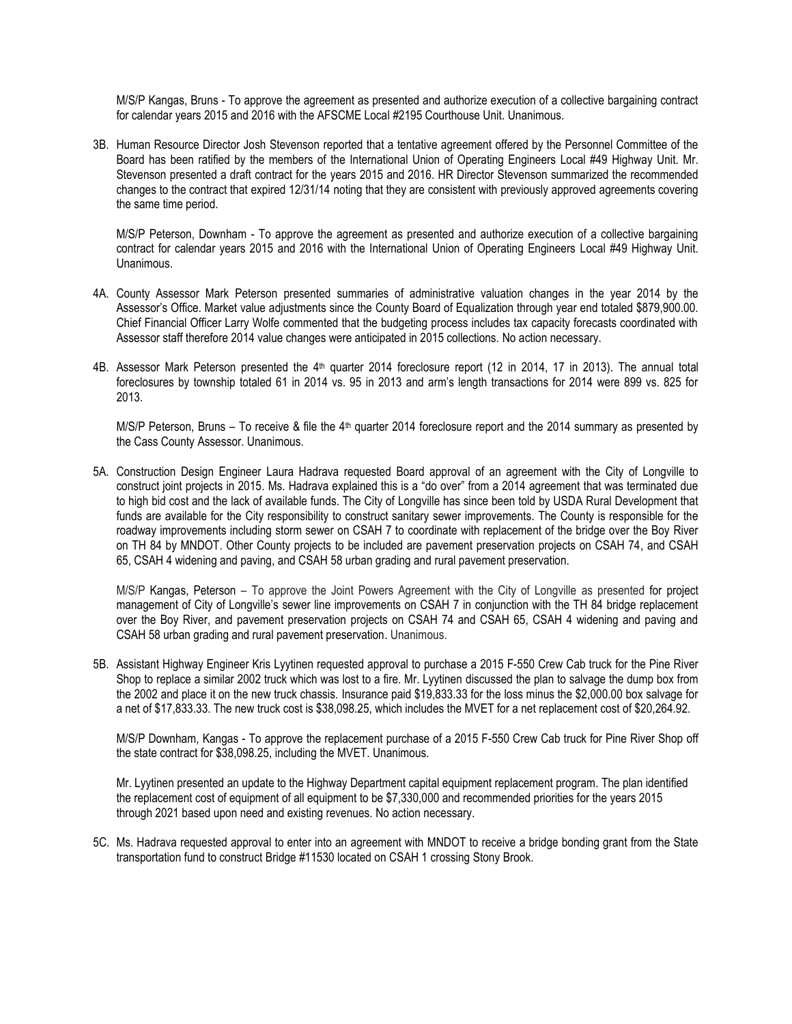M/S/P Kangas, Bruns - To approve the agreement as presented and authorize execution of a collective bargaining contract for calendar years 2015 and 2016 with the AFSCME Local #2195 Courthouse Unit. Unanimous.

3B. Human Resource Director Josh Stevenson reported that a tentative agreement offered by the Personnel Committee of the Board has been ratified by the members of the International Union of Operating Engineers Local #49 Highway Unit. Mr. Stevenson presented a draft contract for the years 2015 and 2016. HR Director Stevenson summarized the recommended changes to the contract that expired 12/31/14 noting that they are consistent with previously approved agreements covering the same time period.

M/S/P Peterson, Downham - To approve the agreement as presented and authorize execution of a collective bargaining contract for calendar years 2015 and 2016 with the International Union of Operating Engineers Local #49 Highway Unit. Unanimous.

- 4A. County Assessor Mark Peterson presented summaries of administrative valuation changes in the year 2014 by the Assessor's Office. Market value adjustments since the County Board of Equalization through year end totaled \$879,900.00. Chief Financial Officer Larry Wolfe commented that the budgeting process includes tax capacity forecasts coordinated with Assessor staff therefore 2014 value changes were anticipated in 2015 collections. No action necessary.
- 4B. Assessor Mark Peterson presented the 4<sup>th</sup> quarter 2014 foreclosure report (12 in 2014, 17 in 2013). The annual total foreclosures by township totaled 61 in 2014 vs. 95 in 2013 and arm's length transactions for 2014 were 899 vs. 825 for 2013.

M/S/P Peterson, Bruns – To receive & file the  $4<sup>th</sup>$  quarter 2014 foreclosure report and the 2014 summary as presented by the Cass County Assessor. Unanimous.

5A. Construction Design Engineer Laura Hadrava requested Board approval of an agreement with the City of Longville to construct joint projects in 2015. Ms. Hadrava explained this is a "do over" from a 2014 agreement that was terminated due to high bid cost and the lack of available funds. The City of Longville has since been told by USDA Rural Development that funds are available for the City responsibility to construct sanitary sewer improvements. The County is responsible for the roadway improvements including storm sewer on CSAH 7 to coordinate with replacement of the bridge over the Boy River on TH 84 by MNDOT. Other County projects to be included are pavement preservation projects on CSAH 74, and CSAH 65, CSAH 4 widening and paving, and CSAH 58 urban grading and rural pavement preservation.

M/S/P Kangas, Peterson – To approve the Joint Powers Agreement with the City of Longville as presented for project management of City of Longville's sewer line improvements on CSAH 7 in conjunction with the TH 84 bridge replacement over the Boy River, and pavement preservation projects on CSAH 74 and CSAH 65, CSAH 4 widening and paving and CSAH 58 urban grading and rural pavement preservation. Unanimous.

5B. Assistant Highway Engineer Kris Lyytinen requested approval to purchase a 2015 F-550 Crew Cab truck for the Pine River Shop to replace a similar 2002 truck which was lost to a fire. Mr. Lyytinen discussed the plan to salvage the dump box from the 2002 and place it on the new truck chassis. Insurance paid \$19,833.33 for the loss minus the \$2,000.00 box salvage for a net of \$17,833.33. The new truck cost is \$38,098.25, which includes the MVET for a net replacement cost of \$20,264.92.

M/S/P Downham, Kangas - To approve the replacement purchase of a 2015 F-550 Crew Cab truck for Pine River Shop off the state contract for \$38,098.25, including the MVET. Unanimous.

Mr. Lyytinen presented an update to the Highway Department capital equipment replacement program. The plan identified the replacement cost of equipment of all equipment to be \$7,330,000 and recommended priorities for the years 2015 through 2021 based upon need and existing revenues. No action necessary.

5C. Ms. Hadrava requested approval to enter into an agreement with MNDOT to receive a bridge bonding grant from the State transportation fund to construct Bridge #11530 located on CSAH 1 crossing Stony Brook.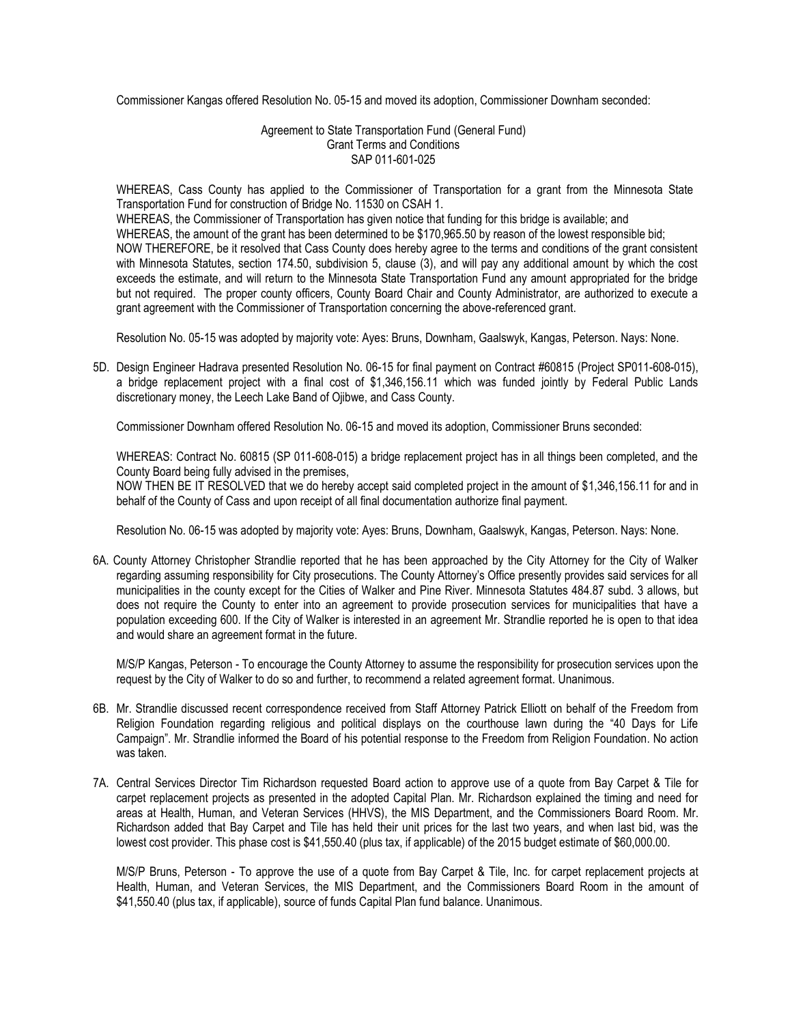Commissioner Kangas offered Resolution No. 05-15 and moved its adoption, Commissioner Downham seconded:

Agreement to State Transportation Fund (General Fund) Grant Terms and Conditions SAP 011-601-025

WHEREAS, Cass County has applied to the Commissioner of Transportation for a grant from the Minnesota State Transportation Fund for construction of Bridge No. 11530 on CSAH 1.

WHEREAS, the Commissioner of Transportation has given notice that funding for this bridge is available; and WHEREAS, the amount of the grant has been determined to be \$170,965.50 by reason of the lowest responsible bid; NOW THEREFORE, be it resolved that Cass County does hereby agree to the terms and conditions of the grant consistent with Minnesota Statutes, section 174.50, subdivision 5, clause (3), and will pay any additional amount by which the cost exceeds the estimate, and will return to the Minnesota State Transportation Fund any amount appropriated for the bridge but not required. The proper county officers, County Board Chair and County Administrator, are authorized to execute a grant agreement with the Commissioner of Transportation concerning the above-referenced grant.

Resolution No. 05-15 was adopted by majority vote: Ayes: Bruns, Downham, Gaalswyk, Kangas, Peterson. Nays: None.

5D. Design Engineer Hadrava presented Resolution No. 06-15 for final payment on Contract #60815 (Project SP011-608-015), a bridge replacement project with a final cost of \$1,346,156.11 which was funded jointly by Federal Public Lands discretionary money, the Leech Lake Band of Ojibwe, and Cass County.

Commissioner Downham offered Resolution No. 06-15 and moved its adoption, Commissioner Bruns seconded:

WHEREAS: Contract No. 60815 (SP 011-608-015) a bridge replacement project has in all things been completed, and the County Board being fully advised in the premises,

NOW THEN BE IT RESOLVED that we do hereby accept said completed project in the amount of \$1,346,156.11 for and in behalf of the County of Cass and upon receipt of all final documentation authorize final payment.

Resolution No. 06-15 was adopted by majority vote: Ayes: Bruns, Downham, Gaalswyk, Kangas, Peterson. Nays: None.

6A. County Attorney Christopher Strandlie reported that he has been approached by the City Attorney for the City of Walker regarding assuming responsibility for City prosecutions. The County Attorney's Office presently provides said services for all municipalities in the county except for the Cities of Walker and Pine River. Minnesota Statutes 484.87 subd. 3 allows, but does not require the County to enter into an agreement to provide prosecution services for municipalities that have a population exceeding 600. If the City of Walker is interested in an agreement Mr. Strandlie reported he is open to that idea and would share an agreement format in the future.

M/S/P Kangas, Peterson - To encourage the County Attorney to assume the responsibility for prosecution services upon the request by the City of Walker to do so and further, to recommend a related agreement format. Unanimous.

- 6B. Mr. Strandlie discussed recent correspondence received from Staff Attorney Patrick Elliott on behalf of the Freedom from Religion Foundation regarding religious and political displays on the courthouse lawn during the "40 Days for Life Campaign". Mr. Strandlie informed the Board of his potential response to the Freedom from Religion Foundation. No action was taken.
- 7A. Central Services Director Tim Richardson requested Board action to approve use of a quote from Bay Carpet & Tile for carpet replacement projects as presented in the adopted Capital Plan. Mr. Richardson explained the timing and need for areas at Health, Human, and Veteran Services (HHVS), the MIS Department, and the Commissioners Board Room. Mr. Richardson added that Bay Carpet and Tile has held their unit prices for the last two years, and when last bid, was the lowest cost provider. This phase cost is \$41,550.40 (plus tax, if applicable) of the 2015 budget estimate of \$60,000.00.

M/S/P Bruns, Peterson - To approve the use of a quote from Bay Carpet & Tile, Inc. for carpet replacement projects at Health, Human, and Veteran Services, the MIS Department, and the Commissioners Board Room in the amount of \$41,550.40 (plus tax, if applicable), source of funds Capital Plan fund balance. Unanimous.